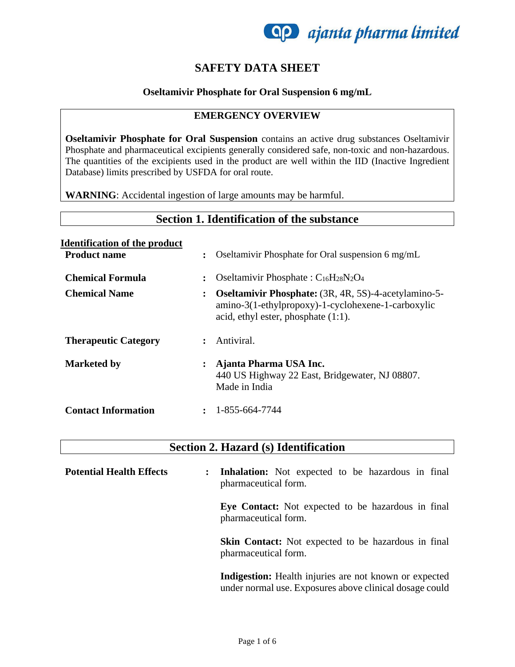

## **SAFETY DATA SHEET**

### **Oseltamivir Phosphate for Oral Suspension 6 mg/mL**

### **EMERGENCY OVERVIEW**

**Oseltamivir Phosphate for Oral Suspension** contains an active drug substances Oseltamivir Phosphate and pharmaceutical excipients generally considered safe, non-toxic and non-hazardous. The quantities of the excipients used in the product are well within the IID (Inactive Ingredient Database) limits prescribed by USFDA for oral route.

**WARNING**: Accidental ingestion of large amounts may be harmful.

| Section 1. Identification of the substance                  |                |                                                                                                                                                             |
|-------------------------------------------------------------|----------------|-------------------------------------------------------------------------------------------------------------------------------------------------------------|
| <b>Identification of the product</b><br><b>Product name</b> | $\ddot{\cdot}$ | Oseltamivir Phosphate for Oral suspension 6 mg/mL                                                                                                           |
| Chemical Formula                                            |                | Oseltamivir Phosphate: $C_{16}H_{28}N_2O_4$                                                                                                                 |
| <b>Chemical Name</b>                                        | $\ddot{\cdot}$ | <b>Oseltamivir Phosphate:</b> (3R, 4R, 5S)-4-acetylamino-5-<br>amino-3(1-ethylpropoxy)-1-cyclohexene-1-carboxylic<br>acid, ethyl ester, phosphate $(1:1)$ . |
| <b>Therapeutic Category</b>                                 | $\bullet$      | Antiviral.                                                                                                                                                  |
| <b>Marketed by</b>                                          |                | Ajanta Pharma USA Inc.<br>440 US Highway 22 East, Bridgewater, NJ 08807.<br>Made in India                                                                   |
| <b>Contact Information</b>                                  |                | 1-855-664-7744                                                                                                                                              |

## **Section 2. Hazard (s) Identification**

| <b>Potential Health Effects</b> | $\ddot{\cdot}$ | <b>Inhalation:</b> Not expected to be hazardous in final<br>pharmaceutical form.                                  |
|---------------------------------|----------------|-------------------------------------------------------------------------------------------------------------------|
|                                 |                | Eye Contact: Not expected to be hazardous in final<br>pharmaceutical form.                                        |
|                                 |                | Skin Contact: Not expected to be hazardous in final<br>pharmaceutical form.                                       |
|                                 |                | Indigestion: Health injuries are not known or expected<br>under normal use. Exposures above clinical dosage could |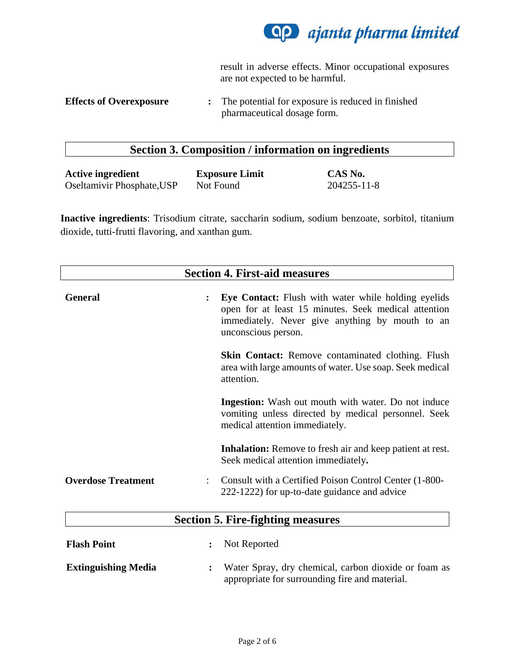

result in adverse effects. Minor occupational exposures are not expected to be harmful.

## **Section 3. Composition / information on ingredients**

| <b>Active ingredient</b>   | <b>Exposure Limit</b> | CAS No.     |
|----------------------------|-----------------------|-------------|
| Oseltamivir Phosphate, USP | Not Found             | 204255-11-8 |

**Inactive ingredients**: Trisodium citrate, saccharin sodium, sodium benzoate, sorbitol, titanium dioxide, tutti-frutti flavoring, and xanthan gum.

| <b>Section 4. First-aid measures</b> |                |                                                                                                                                                                                              |
|--------------------------------------|----------------|----------------------------------------------------------------------------------------------------------------------------------------------------------------------------------------------|
|                                      |                |                                                                                                                                                                                              |
| <b>General</b>                       |                | <b>Eye Contact:</b> Flush with water while holding eyelids<br>open for at least 15 minutes. Seek medical attention<br>immediately. Never give anything by mouth to an<br>unconscious person. |
|                                      |                | <b>Skin Contact:</b> Remove contaminated clothing. Flush<br>area with large amounts of water. Use soap. Seek medical<br>attention.                                                           |
|                                      |                | <b>Ingestion:</b> Wash out mouth with water. Do not induce<br>vomiting unless directed by medical personnel. Seek<br>medical attention immediately.                                          |
|                                      |                | <b>Inhalation:</b> Remove to fresh air and keep patient at rest.<br>Seek medical attention immediately.                                                                                      |
| <b>Overdose Treatment</b>            |                | Consult with a Certified Poison Control Center (1-800-<br>222-1222) for up-to-date guidance and advice                                                                                       |
|                                      |                | <b>Section 5. Fire-fighting measures</b>                                                                                                                                                     |
|                                      |                |                                                                                                                                                                                              |
| <b>Flash Point</b>                   | $\ddot{\cdot}$ | Not Reported                                                                                                                                                                                 |
| <b>Extinguishing Media</b>           | $\ddot{\cdot}$ | Water Spray, dry chemical, carbon dioxide or foam as<br>appropriate for surrounding fire and material.                                                                                       |

**Effects of Overexposure :** The potential for exposure is reduced in finished pharmaceutical dosage form.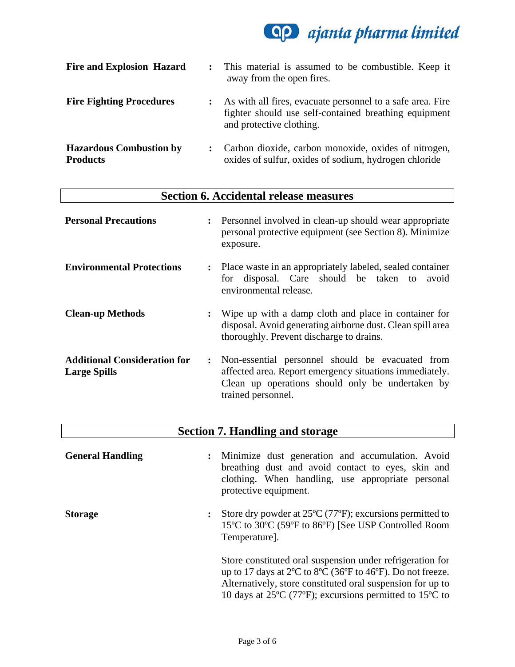

| <b>Fire and Explosion Hazard</b>                  | $\cdot$ | This material is assumed to be combustible. Keep it<br>away from the open fires.                                                                |
|---------------------------------------------------|---------|-------------------------------------------------------------------------------------------------------------------------------------------------|
| <b>Fire Fighting Procedures</b>                   |         | As with all fires, evacuate personnel to a safe area. Fire<br>fighter should use self-contained breathing equipment<br>and protective clothing. |
| <b>Hazardous Combustion by</b><br><b>Products</b> |         | Carbon dioxide, carbon monoxide, oxides of nitrogen,<br>oxides of sulfur, oxides of sodium, hydrogen chloride                                   |

| <b>Section 6. Accidental release measures</b>              |                                                                                                                                                                                                               |
|------------------------------------------------------------|---------------------------------------------------------------------------------------------------------------------------------------------------------------------------------------------------------------|
| <b>Personal Precautions</b>                                | Personnel involved in clean-up should wear appropriate<br>$\ddot{\cdot}$<br>personal protective equipment (see Section 8). Minimize<br>exposure.                                                              |
| <b>Environmental Protections</b>                           | Place waste in an appropriately labeled, sealed container<br>$\ddot{\cdot}$<br>disposal. Care should be taken to<br>avoid<br>for<br>environmental release.                                                    |
| <b>Clean-up Methods</b>                                    | Wipe up with a damp cloth and place in container for<br>$\ddot{\cdot}$<br>disposal. Avoid generating airborne dust. Clean spill area<br>thoroughly. Prevent discharge to drains.                              |
| <b>Additional Consideration for</b><br><b>Large Spills</b> | Non-essential personnel should be evacuated from<br>$\ddot{\phantom{a}}$<br>affected area. Report emergency situations immediately.<br>Clean up operations should only be undertaken by<br>trained personnel. |

| <b>Section 7. Handling and storage</b> |                                                                                                                                                                                                                                                                                                                                          |  |
|----------------------------------------|------------------------------------------------------------------------------------------------------------------------------------------------------------------------------------------------------------------------------------------------------------------------------------------------------------------------------------------|--|
| <b>General Handling</b>                | Minimize dust generation and accumulation. Avoid<br>$\ddot{\phantom{a}}$<br>breathing dust and avoid contact to eyes, skin and<br>clothing. When handling, use appropriate personal<br>protective equipment.                                                                                                                             |  |
| <b>Storage</b>                         | Store dry powder at $25^{\circ}C$ (77 $^{\circ}F$ ); excursions permitted to<br>$\ddot{\cdot}$<br>15°C to 30°C (59°F to 86°F) [See USP Controlled Room<br>Temperature].                                                                                                                                                                  |  |
|                                        | Store constituted oral suspension under refrigeration for<br>up to 17 days at $2^{\circ}$ C to $8^{\circ}$ C (36 $^{\circ}$ F to 46 $^{\circ}$ F). Do not freeze.<br>Alternatively, store constituted oral suspension for up to<br>10 days at 25 $\rm{^{\circ}C}$ (77 $\rm{^{\circ}F}$ ); excursions permitted to 15 $\rm{^{\circ}C}$ to |  |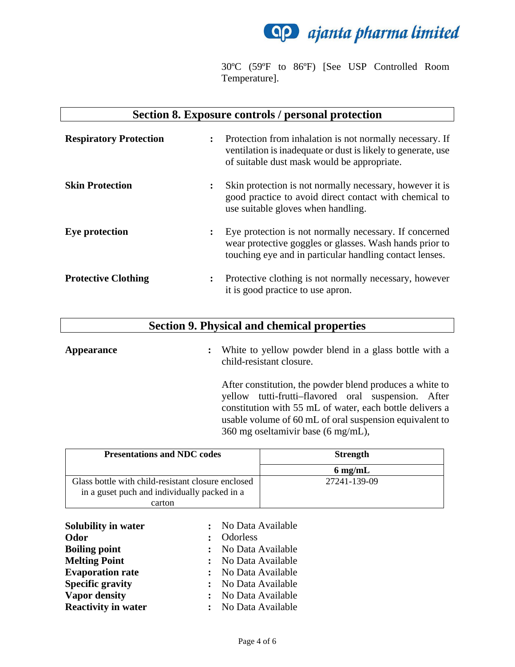

30ºC (59ºF to 86ºF) [See USP Controlled Room Temperature].

### **Section 8. Exposure controls / personal protection**

| <b>Respiratory Protection</b> | $\ddot{\cdot}$ | Protection from inhalation is not normally necessary. If<br>ventilation is inadequate or dust is likely to generate, use<br>of suitable dust mask would be appropriate.      |
|-------------------------------|----------------|------------------------------------------------------------------------------------------------------------------------------------------------------------------------------|
| <b>Skin Protection</b>        | $\ddot{\cdot}$ | Skin protection is not normally necessary, however it is<br>good practice to avoid direct contact with chemical to<br>use suitable gloves when handling.                     |
| <b>Eye protection</b>         | $\ddot{\cdot}$ | Eye protection is not normally necessary. If concerned<br>wear protective goggles or glasses. Wash hands prior to<br>touching eye and in particular handling contact lenses. |
| <b>Protective Clothing</b>    | ፡              | Protective clothing is not normally necessary, however<br>it is good practice to use apron.                                                                                  |

## **Section 9. Physical and chemical properties**

**Appearance :** White to yellow powder blend in a glass bottle with a child-resistant closure. After constitution, the powder blend produces a white to yellow tutti-frutti–flavored oral suspension. After constitution with 55 mL of water, each bottle delivers a usable volume of 60 mL of oral suspension equivalent to 360 mg oseltamivir base (6 mg/mL),

| <b>Presentations and NDC codes</b>                 | <b>Strength</b>   |  |
|----------------------------------------------------|-------------------|--|
|                                                    | $6 \text{ mg/mL}$ |  |
| Glass bottle with child-resistant closure enclosed | 27241-139-09      |  |
| in a guset puch and individually packed in a       |                   |  |
| carton                                             |                   |  |

| Solubility in water        |              | : No Data Available |
|----------------------------|--------------|---------------------|
| Odor                       | $\mathbf{L}$ | Odorless            |
| <b>Boiling point</b>       |              | : No Data Available |
| <b>Melting Point</b>       |              | : No Data Available |
| <b>Evaporation rate</b>    |              | : No Data Available |
| <b>Specific gravity</b>    |              | : No Data Available |
| <b>Vapor density</b>       |              | : No Data Available |
| <b>Reactivity in water</b> |              | : No Data Available |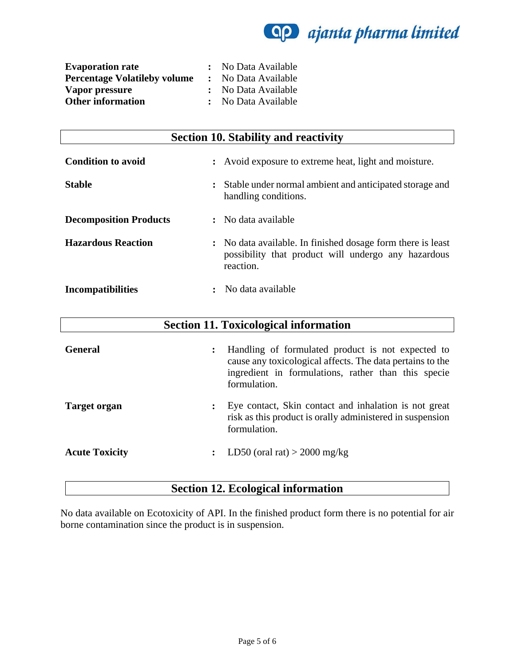~ *ajanta pharma limited* 

| <b>Evaporation rate</b>             | : No Data Available |
|-------------------------------------|---------------------|
| <b>Percentage Volatileby volume</b> | : No Data Available |
| Vapor pressure                      | : No Data Available |
| <b>Other information</b>            | : No Data Available |

| <b>Section 10. Stability and reactivity</b> |                                                                                                                                 |
|---------------------------------------------|---------------------------------------------------------------------------------------------------------------------------------|
| <b>Condition to avoid</b>                   | : Avoid exposure to extreme heat, light and moisture.                                                                           |
| <b>Stable</b>                               | Stable under normal ambient and anticipated storage and<br>handling conditions.                                                 |
| <b>Decomposition Products</b>               | : No data available                                                                                                             |
| <b>Hazardous Reaction</b>                   | : No data available. In finished dosage form there is least<br>possibility that product will undergo any hazardous<br>reaction. |
| <b>Incompatibilities</b>                    | No data available                                                                                                               |

| <b>Section 11. Toxicological information</b> |                                                                                                                                                                                                         |
|----------------------------------------------|---------------------------------------------------------------------------------------------------------------------------------------------------------------------------------------------------------|
| <b>General</b>                               | Handling of formulated product is not expected to<br>$\ddot{\cdot}$<br>cause any toxicological affects. The data pertains to the<br>ingredient in formulations, rather than this specie<br>formulation. |
| <b>Target organ</b>                          | Eye contact, Skin contact and inhalation is not great<br>risk as this product is orally administered in suspension<br>formulation.                                                                      |
| <b>Acute Toxicity</b>                        | LD50 (oral rat) $>$ 2000 mg/kg<br>$\ddot{\phantom{a}}$                                                                                                                                                  |

# **Section 12. Ecological information**

No data available on Ecotoxicity of API. In the finished product form there is no potential for air borne contamination since the product is in suspension.